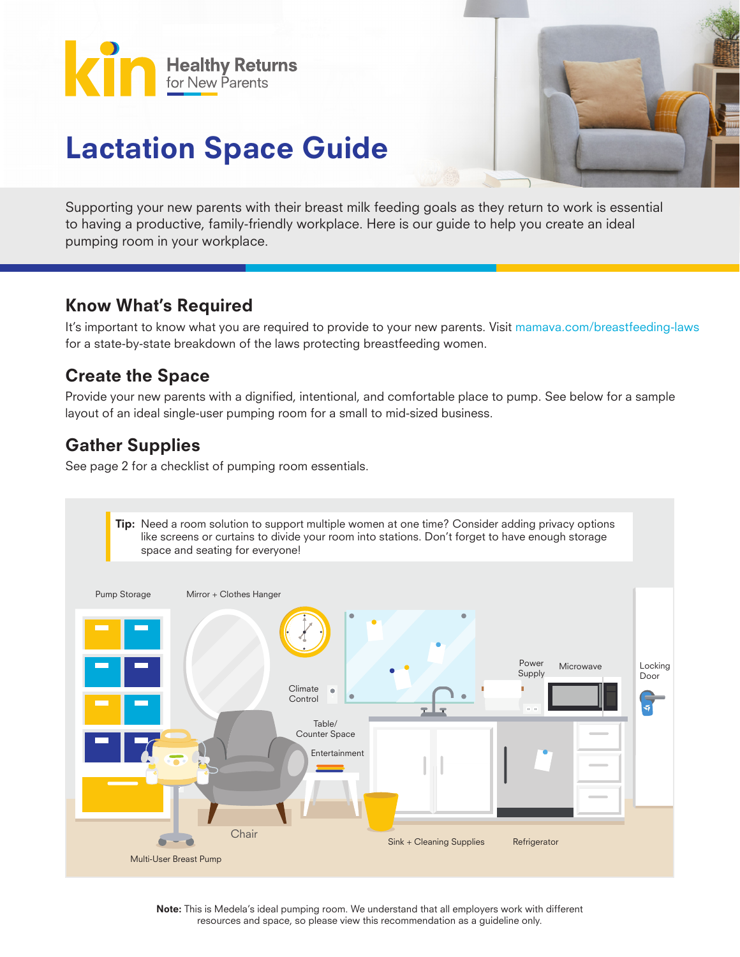



## Lactation Space Guide

Supporting your new parents with their breast milk feeding goals as they return to work is essential to having a productive, family-friendly workplace. Here is our guide to help you create an ideal pumping room in your workplace.

## Know What's Required

It's important to know what you are required to provide to your new parents. Visit mamava.com/breastfeeding-laws for a state-by-state breakdown of the laws protecting breastfeeding women.

## Create the Space

Provide your new parents with a dignified, intentional, and comfortable place to pump. See below for a sample layout of an ideal single-user pumping room for a small to mid-sized business.

## Gather Supplies

See page 2 for a checklist of pumping room essentials.



Note: This is Medela's ideal pumping room. We understand that all employers work with different resources and space, so please view this recommendation as a guideline only.